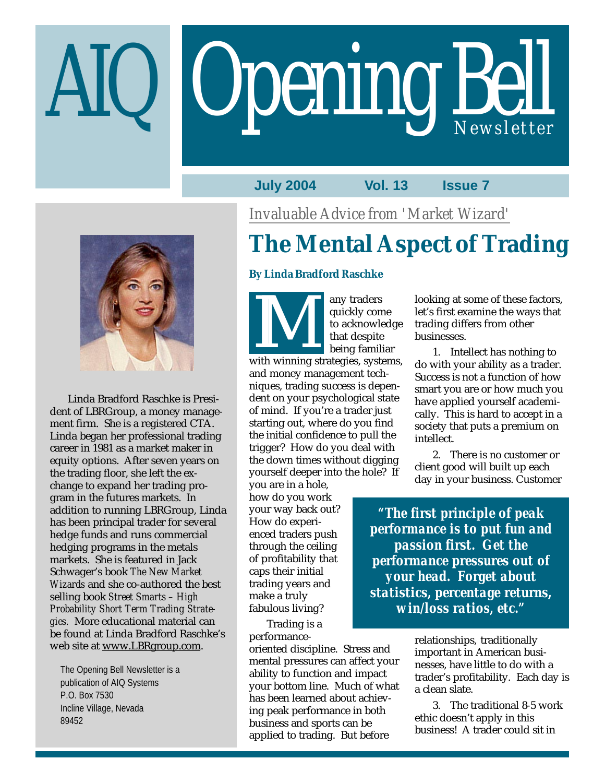# **Opening Bell**

**July 2004 Vol. 13 Issue 7**

*Invaluable Advice from 'Market Wizard'*



Linda Bradford Raschke is President of LBRGroup, a money management firm. She is a registered CTA. Linda began her professional trading career in 1981 as a market maker in equity options. After seven years on the trading floor, she left the exchange to expand her trading program in the futures markets. In addition to running LBRGroup, Linda has been principal trader for several hedge funds and runs commercial hedging programs in the metals markets. She is featured in Jack Schwager's book *The New Market Wizards* and she co-authored the best selling book *Street Smarts – High Probability Short Term Trading Strategies.* More educational material can be found at Linda Bradford Raschke's web site at www.LBRgroup.com.

The Opening Bell Newsletter is a publication of AIQ Systems P.O. Box 7530 Incline Village, Nevada 89452

# **The Mental Aspect of Trading**

# **By Linda Bradford Raschke**

any traders quickly come to acknowledge that despite being familiar with winning strategies, systems,

and money management techniques, trading success is dependent on your psychological state of mind. If you're a trader just starting out, where do you find the initial confidence to pull the trigger? How do you deal with the down times without digging yourself deeper into the hole? If you are in a hole,

how do you work your way back out? How do experienced traders push through the ceiling of profitability that caps their initial trading years and make a truly fabulous living?

Trading is a performance-

oriented discipline. Stress and mental pressures can affect your ability to function and impact your bottom line. Much of what has been learned about achieving peak performance in both business and sports can be applied to trading. But before

looking at some of these factors, let's first examine the ways that trading differs from other businesses.

1. Intellect has nothing to do with your ability as a trader. Success is not a function of how smart you are or how much you have applied yourself academically. This is hard to accept in a society that puts a premium on intellect.

2. There is no customer or client good will built up each day in your business. Customer

*"The first principle of peak performance is to put fun and passion first. Get the performance pressures out of your head. Forget about statistics, percentage returns, win/loss ratios, etc."*

> relationships, traditionally important in American businesses, have little to do with a trader's profitability. Each day is a clean slate.

3. The traditional 8-5 work ethic doesn't apply in this business! A trader could sit in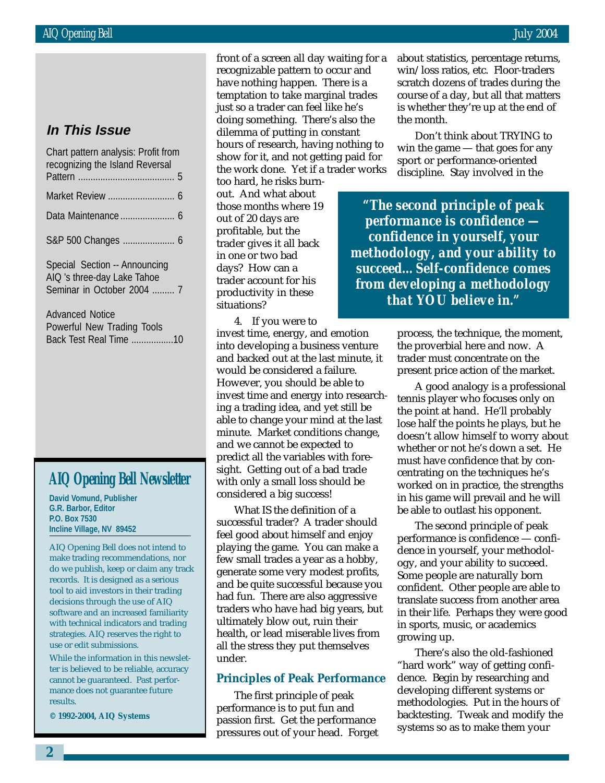# **In This Issue**

| Chart pattern analysis: Profit from<br>recognizing the Island Reversal                     |
|--------------------------------------------------------------------------------------------|
|                                                                                            |
| Market Review  6                                                                           |
|                                                                                            |
|                                                                                            |
| Special Section -- Announcing<br>AIQ 's three-day Lake Tahoe<br>Seminar in October 2004  7 |
|                                                                                            |

Advanced Notice Powerful New Trading Tools Back Test Real Time .................10

# **AIQ Opening Bell Newsletter**

**David Vomund, Publisher G.R. Barbor, Editor P.O. Box 7530 Incline Village, NV 89452**

AIQ Opening Bell does not intend to make trading recommendations, nor do we publish, keep or claim any track records. It is designed as a serious tool to aid investors in their trading decisions through the use of AIQ software and an increased familiarity with technical indicators and trading strategies. AIQ reserves the right to use or edit submissions.

While the information in this newsletter is believed to be reliable, accuracy cannot be guaranteed. Past performance does not guarantee future results.

**© 1992-2004, AIQ Systems**

front of a screen all day waiting for a recognizable pattern to occur and have nothing happen. There is a temptation to take marginal trades just so a trader can feel like he's doing something. There's also the dilemma of putting in constant hours of research, having nothing to show for it, and not getting paid for the work done. Yet if a trader works

too hard, he risks burnout. And what about those months where 19 out of 20 days are profitable, but the trader gives it all back in one or two bad days? How can a trader account for his productivity in these situations?

4. If you were to

invest time, energy, and emotion into developing a business venture and backed out at the last minute, it would be considered a failure. However, you should be able to invest time and energy into researching a trading idea, and yet still be able to change your mind at the last minute. Market conditions change, and we cannot be expected to predict all the variables with foresight. Getting out of a bad trade with only a small loss should be considered a big success!

What IS the definition of a successful trader? A trader should feel good about himself and enjoy playing the game. You can make a few small trades a year as a hobby, generate some very modest profits, and be quite successful because you had fun. There are also aggressive traders who have had big years, but ultimately blow out, ruin their health, or lead miserable lives from all the stress they put themselves under.

# **Principles of Peak Performance**

The first principle of peak performance is to put fun and passion first. Get the performance pressures out of your head. Forget about statistics, percentage returns, win/loss ratios, etc. Floor-traders scratch dozens of trades during the course of a day, but all that matters is whether they're up at the end of the month.

Don't think about TRYING to win the game — that goes for any sport or performance-oriented discipline. Stay involved in the

*"The second principle of peak performance is confidence confidence in yourself, your methodology, and your ability to succeed…Self-confidence comes from developing a methodology that YOU believe in."*

> process, the technique, the moment, the proverbial here and now. A trader must concentrate on the present price action of the market.

A good analogy is a professional tennis player who focuses only on the point at hand. He'll probably lose half the points he plays, but he doesn't allow himself to worry about whether or not he's down a set. He must have confidence that by concentrating on the techniques he's worked on in practice, the strengths in his game will prevail and he will be able to outlast his opponent.

The second principle of peak performance is confidence — confidence in yourself, your methodology, and your ability to succeed. Some people are naturally born confident. Other people are able to translate success from another area in their life. Perhaps they were good in sports, music, or academics growing up.

There's also the old-fashioned "hard work" way of getting confidence. Begin by researching and developing different systems or methodologies. Put in the hours of backtesting. Tweak and modify the systems so as to make them your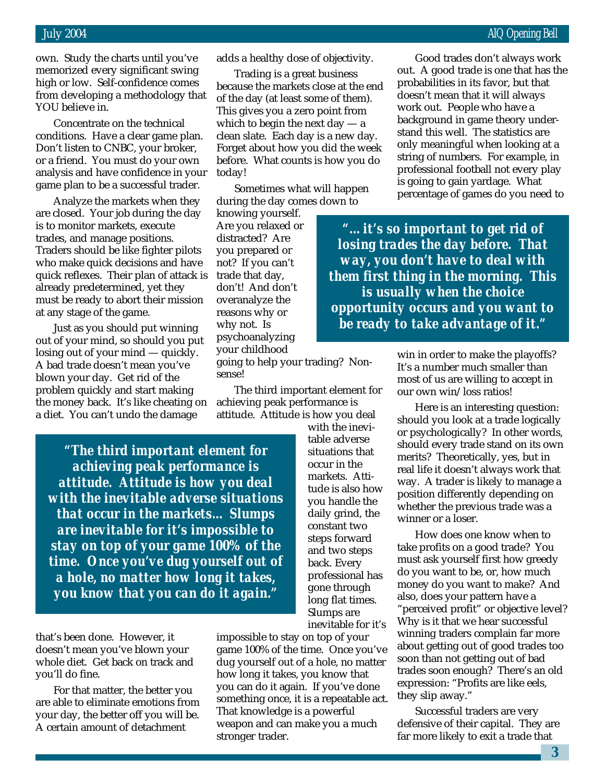own. Study the charts until you've memorized every significant swing high or low. Self-confidence comes from developing a methodology that YOU believe in.

Concentrate on the technical conditions. Have a clear game plan. Don't listen to CNBC, your broker, or a friend. You must do your own analysis and have confidence in your game plan to be a successful trader.

Analyze the markets when they are closed. Your job during the day is to monitor markets, execute trades, and manage positions. Traders should be like fighter pilots who make quick decisions and have quick reflexes. Their plan of attack is already predetermined, yet they must be ready to abort their mission at any stage of the game.

Just as you should put winning out of your mind, so should you put losing out of your mind — quickly. A bad trade doesn't mean you've blown your day. Get rid of the problem quickly and start making the money back. It's like cheating on a diet. You can't undo the damage

adds a healthy dose of objectivity.

Trading is a great business because the markets close at the end of the day (at least some of them). This gives you a zero point from which to begin the next day  $-$  a clean slate. Each day is a new day. Forget about how you did the week before. What counts is how you do today!

Sometimes what will happen during the day comes down to

knowing yourself. Are you relaxed or distracted? Are you prepared or not? If you can't trade that day, don't! And don't overanalyze the reasons why or why not. Is psychoanalyzing your childhood

going to help your trading? Nonsense!

The third important element for achieving peak performance is attitude. Attitude is how you deal

*"The third important element for achieving peak performance is attitude. Attitude is how you deal with the inevitable adverse situations that occur in the markets… Slumps are inevitable for it's impossible to stay on top of your game 100% of the time. Once you've dug yourself out of a hole, no matter how long it takes, you know that you can do it again."*

that's been done. However, it doesn't mean you've blown your whole diet. Get back on track and you'll do fine.

For that matter, the better you are able to eliminate emotions from your day, the better off you will be. A certain amount of detachment

with the inevitable adverse situations that occur in the markets. Attitude is also how you handle the daily grind, the constant two steps forward and two steps back. Every professional has gone through long flat times. Slumps are inevitable for it's

impossible to stay on top of your game 100% of the time. Once you've dug yourself out of a hole, no matter how long it takes, you know that you can do it again. If you've done something once, it is a repeatable act. That knowledge is a powerful weapon and can make you a much stronger trader.

Good trades don't always work out. A good trade is one that has the probabilities in its favor, but that doesn't mean that it will always work out. People who have a background in game theory understand this well. The statistics are only meaningful when looking at a string of numbers. For example, in professional football not every play is going to gain yardage. What percentage of games do you need to

*"…it's so important to get rid of losing trades the day before. That way, you don't have to deal with them first thing in the morning. This is usually when the choice opportunity occurs and you want to be ready to take advantage of it."*

> win in order to make the playoffs? It's a number much smaller than most of us are willing to accept in our own win/loss ratios!

Here is an interesting question: should you look at a trade logically or psychologically? In other words, should every trade stand on its own merits? Theoretically, yes, but in real life it doesn't always work that way. A trader is likely to manage a position differently depending on whether the previous trade was a winner or a loser.

How does one know when to take profits on a good trade? You must ask yourself first how greedy do you want to be, or, how much money do you want to make? And also, does your pattern have a "perceived profit" or objective level? Why is it that we hear successful winning traders complain far more about getting out of good trades too soon than not getting out of bad trades soon enough? There's an old expression: "Profits are like eels, they slip away."

Successful traders are very defensive of their capital. They are far more likely to exit a trade that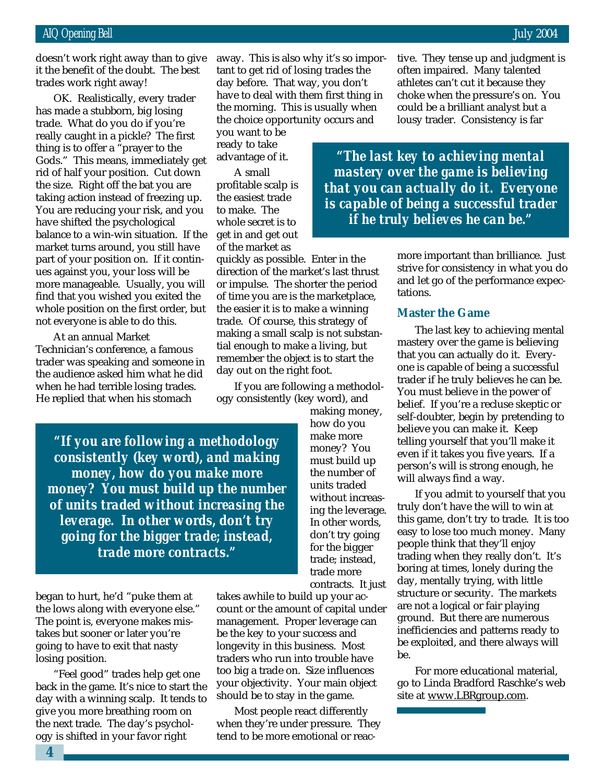doesn't work right away than to give it the benefit of the doubt. The best trades work right away!

OK. Realistically, every trader has made a stubborn, big losing trade. What do you do if you're really caught in a pickle? The first thing is to offer a "prayer to the Gods." This means, immediately get rid of half your position. Cut down the size. Right off the bat you are taking action instead of freezing up. You are reducing your risk, and you have shifted the psychological balance to a win-win situation. If the market turns around, you still have part of your position on. If it continues against you, your loss will be more manageable. Usually, you will find that you wished you exited the whole position on the first order, but not everyone is able to do this.

At an annual Market Technician's conference, a famous trader was speaking and someone in the audience asked him what he did when he had terrible losing trades. He replied that when his stomach

away. This is also why it's so important to get rid of losing trades the day before. That way, you don't have to deal with them first thing in the morning. This is usually when the choice opportunity occurs and

you want to be ready to take advantage of it.

A small profitable scalp is the easiest trade to make. The whole secret is to get in and get out of the market as

quickly as possible. Enter in the direction of the market's last thrust or impulse. The shorter the period of time you are is the marketplace, the easier it is to make a winning trade. Of course, this strategy of making a small scalp is not substantial enough to make a living, but remember the object is to start the day out on the right foot.

If you are following a methodology consistently (key word), and

*"If you are following a methodology consistently (key word), and making money, how do you make more money? You must build up the number of units traded without increasing the leverage. In other words, don't try going for the bigger trade; instead, trade more contracts."*

began to hurt, he'd "puke them at the lows along with everyone else." The point is, everyone makes mistakes but sooner or later you're going to have to exit that nasty losing position.

"Feel good" trades help get one back in the game. It's nice to start the day with a winning scalp. It tends to give you more breathing room on the next trade. The day's psychology is shifted in your favor right

making money, how do you make more money? You must build up the number of units traded without increasing the leverage. In other words, don't try going for the bigger trade; instead, trade more contracts. It just

takes awhile to build up your account or the amount of capital under management. Proper leverage can be the key to your success and longevity in this business. Most traders who run into trouble have too big a trade on. Size influences your objectivity. Your main object should be to stay in the game.

Most people react differently when they're under pressure. They tend to be more emotional or reactive. They tense up and judgment is often impaired. Many talented athletes can't cut it because they choke when the pressure's on. You could be a brilliant analyst but a lousy trader. Consistency is far

*"The last key to achieving mental mastery over the game is believing that you can actually do it. Everyone is capable of being a successful trader if he truly believes he can be."*

> more important than brilliance. Just strive for consistency in what you do and let go of the performance expectations.

# **Master the Game**

The last key to achieving mental mastery over the game is believing that you can actually do it. Everyone is capable of being a successful trader if he truly believes he can be. You must believe in the power of belief. If you're a recluse skeptic or self-doubter, begin by pretending to believe you can make it. Keep telling yourself that you'll make it even if it takes you five years. If a person's will is strong enough, he will always find a way.

If you admit to yourself that you truly don't have the will to win at this game, don't try to trade. It is too easy to lose too much money. Many people think that they'll enjoy trading when they really don't. It's boring at times, lonely during the day, mentally trying, with little structure or security. The markets are not a logical or fair playing ground. But there are numerous inefficiencies and patterns ready to be exploited, and there always will be.

For more educational material, go to Linda Bradford Raschke's web site at www.LBRgroup.com.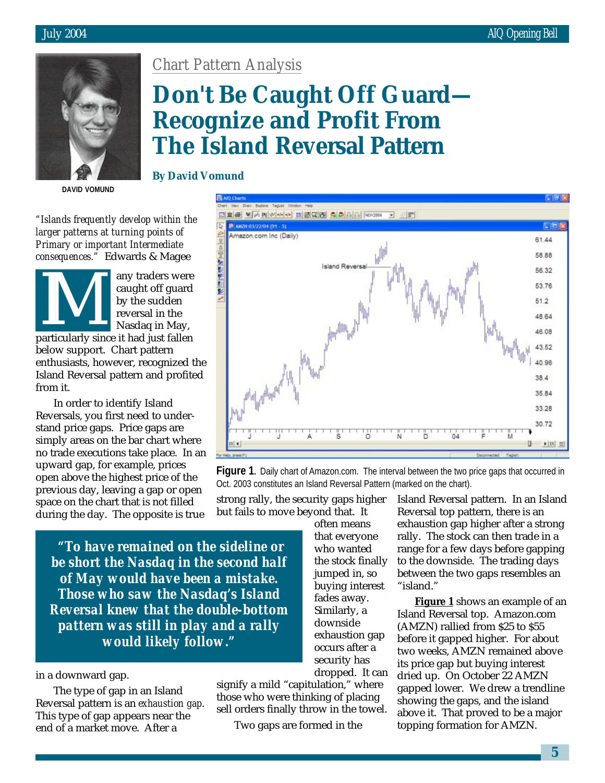

# *Chart Pattern Analysis*

# **Don't Be Caught Off Guard— Recognize and Profit From The Island Reversal Pattern**

**DAVID VOMUND**

*"Islands frequently develop within the larger patterns at turning points of Primary or important Intermediate consequences."* Edwards & Magee



any traders were caught off guard by the sudden reversal in the Nasdaq in May,

below support. Chart pattern enthusiasts, however, recognized the Island Reversal pattern and profited from it.

In order to identify Island Reversals, you first need to understand price gaps. Price gaps are simply areas on the bar chart where no trade executions take place. In an upward gap, for example, prices open above the highest price of the previous day, leaving a gap or open space on the chart that is not filled during the day. The opposite is true

*"To have remained on the sideline or be short the Nasdaq in the second half of May would have been a mistake. Those who saw the Nasdaq's Island Reversal knew that the double-bottom pattern was still in play and a rally would likely follow."*

in a downward gap.

The type of gap in an Island Reversal pattern is an *exhaustion gap*. This type of gap appears near the end of a market move. After a

**By David Vomund**



**Figure 1.** Daily chart of Amazon.com. The interval between the two price gaps that occurred in Oct. 2003 constitutes an Island Reversal Pattern (marked on the chart).

strong rally, the security gaps higher but fails to move beyond that. It

> often means that everyone

who wanted the stock finally jumped in, so buying interest fades away. Similarly, a downside exhaustion gap occurs after a security has dropped. It can

signify a mild "capitulation," where those who were thinking of placing sell orders finally throw in the towel.

Two gaps are formed in the

Island Reversal pattern. In an Island Reversal top pattern, there is an exhaustion gap higher after a strong rally. The stock can then trade in a range for a few days before gapping to the downside. The trading days between the two gaps resembles an "island."

**Figure 1** shows an example of an Island Reversal top. Amazon.com (AMZN) rallied from \$25 to \$55 before it gapped higher. For about two weeks, AMZN remained above its price gap but buying interest dried up. On October 22 AMZN gapped lower. We drew a trendline showing the gaps, and the island above it. That proved to be a major topping formation for AMZN.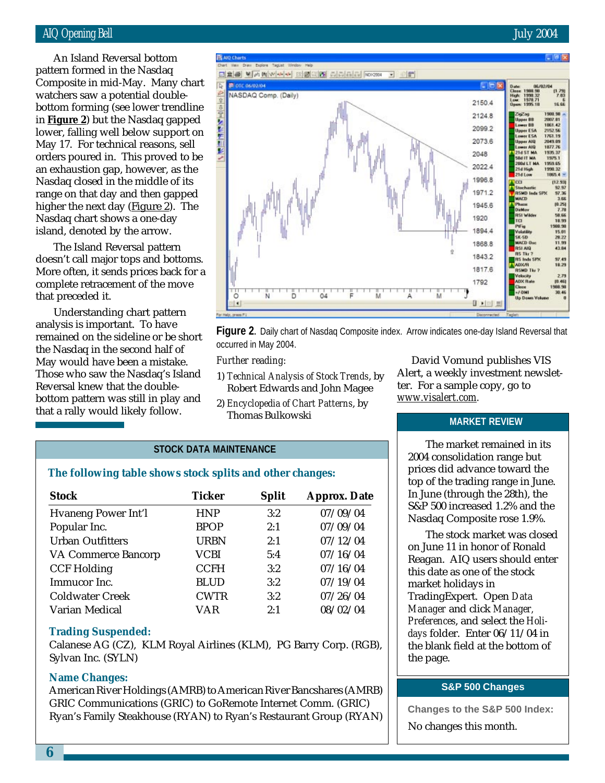# AIQ Opening Bell July 2004

An Island Reversal bottom pattern formed in the Nasdaq Composite in mid-May. Many chart watchers saw a potential doublebottom forming (see lower trendline in **Figure 2**) but the Nasdaq gapped lower, falling well below support on May 17. For technical reasons, sell orders poured in. This proved to be an exhaustion gap, however, as the Nasdaq closed in the middle of its range on that day and then gapped higher the next day (Figure 2). The Nasdaq chart shows a one-day island, denoted by the arrow.

The Island Reversal pattern doesn't call major tops and bottoms. More often, it sends prices back for a complete retracement of the move that preceded it.

Understanding chart pattern analysis is important. To have remained on the sideline or be short the Nasdaq in the second half of May would have been a mistake. Those who saw the Nasdaq's Island Reversal knew that the doublebottom pattern was still in play and that a rally would likely follow.





*Further reading:*

- 1) *Technical Analysis of Stock Trends*, by Robert Edwards and John Magee
- 2) *Encyclopedia of Chart Patterns*, by Thomas Bulkowski

David Vomund publishes VIS Alert, a weekly investment newsletter. For a sample copy, go to *www.visalert.com.*

# **MARKET REVIEW**

The market remained in its 2004 consolidation range but prices did advance toward the top of the trading range in June. In June (through the 28th), the S&P 500 increased 1.2% and the Nasdaq Composite rose 1.9%.

The stock market was closed on June 11 in honor of Ronald Reagan. AIQ users should enter this date as one of the stock market holidays in TradingExpert. Open *Data Manager* and click *Manager, Preferences*, and select the *Holidays* folder. Enter 06/11/04 in the blank field at the bottom of the page.

# **S&P 500 Changes**

**Changes to the S&P 500 Index:** No changes this month.

# **STOCK DATA MAINTENANCE**

# **The following table shows stock splits and other changes:**

| <b>Stock</b>               | <b>Ticker</b> | <b>Split</b> | <b>Approx. Date</b> |
|----------------------------|---------------|--------------|---------------------|
| <b>Hvaneng Power Int'l</b> | <b>HNP</b>    | 3:2          | 07/09/04            |
| Popular Inc.               | <b>BPOP</b>   | 2:1          | 07/09/04            |
| <b>Urban Outfitters</b>    | <b>URBN</b>   | 2:1          | 07/12/04            |
| VA Commerce Bancorp        | VCBI          | 5:4          | 07/16/04            |
| <b>CCF Holding</b>         | <b>CCFH</b>   | 3:2          | 07/16/04            |
| Immucor Inc.               | <b>BLUD</b>   | 3:2          | 07/19/04            |
| <b>Coldwater Creek</b>     | <b>CWTR</b>   | 3:2          | 07/26/04            |
| Varian Medical             | VAR           | 2:1          | 08/02/04            |

# **Trading Suspended:**

Calanese AG (CZ), KLM Royal Airlines (KLM), PG Barry Corp. (RGB), Sylvan Inc. (SYLN)

# **Name Changes:**

American River Holdings (AMRB) to American River Bancshares (AMRB) GRIC Communications (GRIC) to GoRemote Internet Comm. (GRIC) Ryan's Family Steakhouse (RYAN) to Ryan's Restaurant Group (RYAN)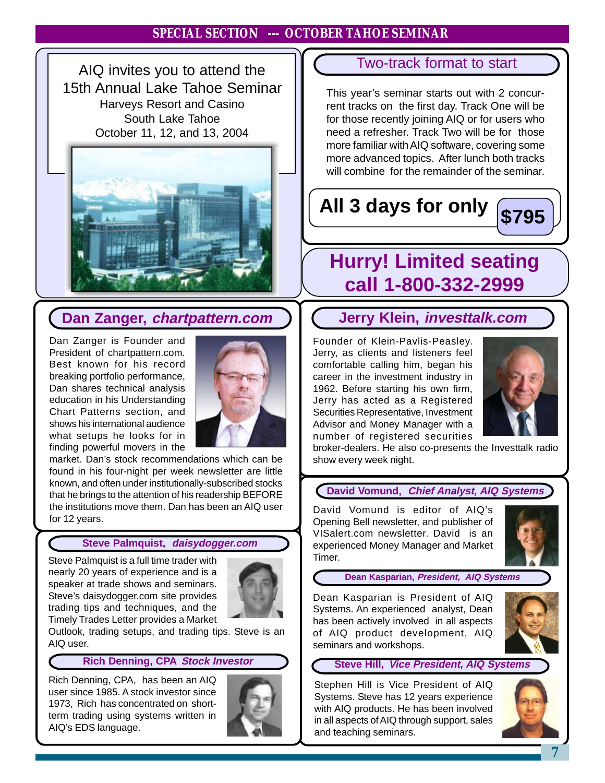# **SPECIAL SECTION --- OCTOBER TAHOE SEMINAR**

AIQ invites you to attend the 15th Annual Lake Tahoe Seminar Harveys Resort and Casino South Lake Tahoe October 11, 12, and 13, 2004



# **Dan Zanger,** *chartpattern.com*  $\bigcup$  ( Jerry Klein, *investtalk.com*

Dan Zanger is Founder and<br>President of chartpattern.com. Best known for his record Dan Zanger is Founder and breaking portfolio performance, Dan shares technical analysis education in his Understanding Chart Patterns section, and shows his international audience what setups he looks for in finding powerful movers in the



market. Dan's stock recommendations which can be found in his four-night per week newsletter are little known, and often under institutionally-subscribed stocks that he brings to the attention of his readership BEFORE the institutions move them. Dan has been an AIQ user for 12 years.

# **Steve Palmquist, daisydogger.com**

Steve Palmquist is a full time trader with nearly 20 years of experience and is a speaker at trade shows and seminars. Steve's daisydogger.com site provides trading tips and techniques, and the Timely Trades Letter provides a Market



Outlook, trading setups, and trading tips. Steve is an AIQ user.

# **Rich Denning, CPA Stock Investor**

Rich Denning, CPA, has been an AIQ user since 1985. A stock investor since 1973, Rich has concentrated on shortterm trading using systems written in AIQ's EDS language.

.



# Two-track format to start

This year's seminar starts out with 2 concurrent tracks on the first day. Track One will be for those recently joining AIQ or for users who need a refresher. Track Two will be for those more familiar with AIQ software, covering some more advanced topics. After lunch both tracks will combine for the remainder of the seminar.



# **Hurry! Limited seating call 1-800-332-2999**

Founder of Klein-Pavlis-Peasley. Jerry, as clients and listeners feel comfortable calling him, began his career in the investment industry in 1962. Before starting his own firm, Jerry has acted as a Registered Securities Representative, Investment Advisor and Money Manager with a number of registered securities



broker-dealers. He also co-presents the Investtalk radio show every week night.

# **David Vomund, Chief Analyst, AIQ Systems**

David Vomund is editor of AIQ's Opening Bell newsletter, and publisher of VISalert.com newsletter. David is an experienced Money Manager and Market Timer.



**Dean Kasparian, President, AIQ Systems**

Dean Kasparian is President of AIQ Systems. An experienced analyst, Dean has been actively involved in all aspects of AIQ product development, AIQ seminars and workshops.



 **Steve Hill, Vice President, AIQ Systems**

Stephen Hill is Vice President of AIQ Systems. Steve has 12 years experience with AIQ products. He has been involved in all aspects of AIQ through support, sales and teaching seminars.

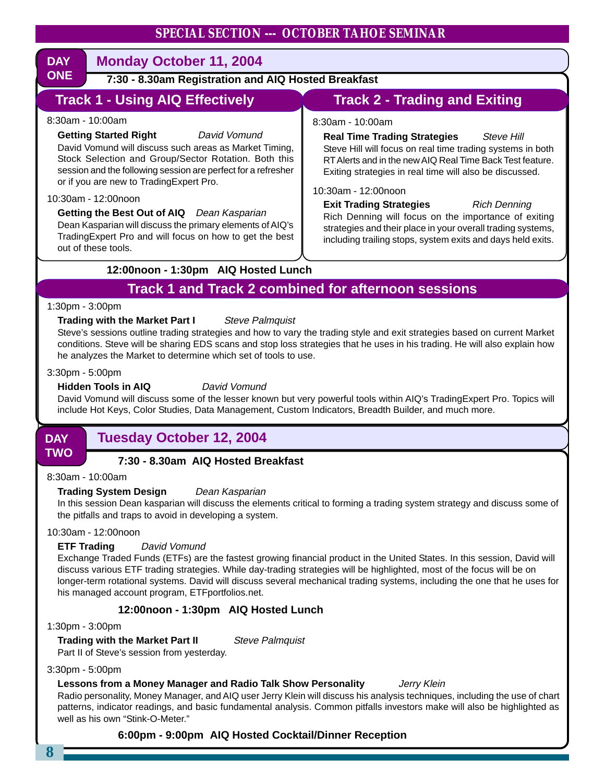# **SPECIAL SECTION --- OCTOBER TAHOE SEMINAR**

| <b>DAY</b>                                                                                                                                                                                                                                                                                                                                                                                                                                                                                                             | <b>Monday October 11, 2004</b>                                                                                             |                                                                                                                                                                                                                                                                                                                                                                                                                                                                                                                            |  |  |  |  |  |
|------------------------------------------------------------------------------------------------------------------------------------------------------------------------------------------------------------------------------------------------------------------------------------------------------------------------------------------------------------------------------------------------------------------------------------------------------------------------------------------------------------------------|----------------------------------------------------------------------------------------------------------------------------|----------------------------------------------------------------------------------------------------------------------------------------------------------------------------------------------------------------------------------------------------------------------------------------------------------------------------------------------------------------------------------------------------------------------------------------------------------------------------------------------------------------------------|--|--|--|--|--|
| <b>ONE</b>                                                                                                                                                                                                                                                                                                                                                                                                                                                                                                             | 7:30 - 8.30am Registration and AIQ Hosted Breakfast                                                                        |                                                                                                                                                                                                                                                                                                                                                                                                                                                                                                                            |  |  |  |  |  |
|                                                                                                                                                                                                                                                                                                                                                                                                                                                                                                                        | <b>Track 1 - Using AIQ Effectively</b>                                                                                     | <b>Track 2 - Trading and Exiting</b>                                                                                                                                                                                                                                                                                                                                                                                                                                                                                       |  |  |  |  |  |
| $8:30$ am - 10:00am<br>David Vomund<br><b>Getting Started Right</b><br>David Vomund will discuss such areas as Market Timing,<br>Stock Selection and Group/Sector Rotation. Both this<br>session and the following session are perfect for a refresher<br>or if you are new to TradingExpert Pro.<br>10:30am - 12:00noon<br>Getting the Best Out of AIQ Dean Kasparian<br>Dean Kasparian will discuss the primary elements of AIQ's<br>Trading Expert Pro and will focus on how to get the best<br>out of these tools. |                                                                                                                            | $8:30$ am - 10:00am<br>Steve Hill<br><b>Real Time Trading Strategies</b><br>Steve Hill will focus on real time trading systems in both<br>RT Alerts and in the new AIQ Real Time Back Test feature.<br>Exiting strategies in real time will also be discussed.<br>10:30am - 12:00noon<br><b>Exit Trading Strategies</b> Rich Denning<br>Rich Denning will focus on the importance of exiting<br>strategies and their place in your overall trading systems,<br>including trailing stops, system exits and days held exits. |  |  |  |  |  |
|                                                                                                                                                                                                                                                                                                                                                                                                                                                                                                                        | 12:00noon - 1:30pm AIQ Hosted Lunch                                                                                        |                                                                                                                                                                                                                                                                                                                                                                                                                                                                                                                            |  |  |  |  |  |
|                                                                                                                                                                                                                                                                                                                                                                                                                                                                                                                        | <b>Track 1 and Track 2 combined for afternoon sessions</b>                                                                 |                                                                                                                                                                                                                                                                                                                                                                                                                                                                                                                            |  |  |  |  |  |
| $1:30$ pm - $3:00$ pm                                                                                                                                                                                                                                                                                                                                                                                                                                                                                                  | <b>Steve Palmquist</b><br>Trading with the Market Part I<br>he analyzes the Market to determine which set of tools to use. | Steve's sessions outline trading strategies and how to vary the trading style and exit strategies based on current Market<br>conditions. Steve will be sharing EDS scans and stop loss strategies that he uses in his trading. He will also explain how                                                                                                                                                                                                                                                                    |  |  |  |  |  |

# 3:30pm - 5:00pm

# **Hidden Tools in AIQ** *David Vomund*

David Vomund will discuss some of the lesser known but very powerful tools within AIQ's TradingExpert Pro. Topics will include Hot Keys, Color Studies, Data Management, Custom Indicators, Breadth Builder, and much more.

# **DAY TWO**

# **Tuesday October 12, 2004**

# **7:30 - 8.30am AIQ Hosted Breakfast**

8:30am - 10:00am

# **Trading System Design Dean Kasparian**

In this session Dean kasparian will discuss the elements critical to forming a trading system strategy and discuss some of the pitfalls and traps to avoid in developing a system.

10:30am - 12:00noon

# **ETF Trading** David Vomund

Exchange Traded Funds (ETFs) are the fastest growing financial product in the United States. In this session, David will discuss various ETF trading strategies. While day-trading strategies will be highlighted, most of the focus will be on longer-term rotational systems. David will discuss several mechanical trading systems, including the one that he uses for his managed account program, ETFportfolios.net.

# **12:00noon - 1:30pm AIQ Hosted Lunch**

1:30pm - 3:00pm

**Trading with the Market Part II** Steve Palmquist

Part II of Steve's session from yesterday.

# 3:30pm - 5:00pm

# **Lessons from a Money Manager and Radio Talk Show Personality Subset Construment Show And Talk And Are Adda**

Radio personality, Money Manager, and AIQ user Jerry Klein will discuss his analysis techniques, including the use of chart patterns, indicator readings, and basic fundamental analysis. Common pitfalls investors make will also be highlighted as well as his own "Stink-O-Meter."

# **6:00pm - 9:00pm AIQ Hosted Cocktail/Dinner Reception**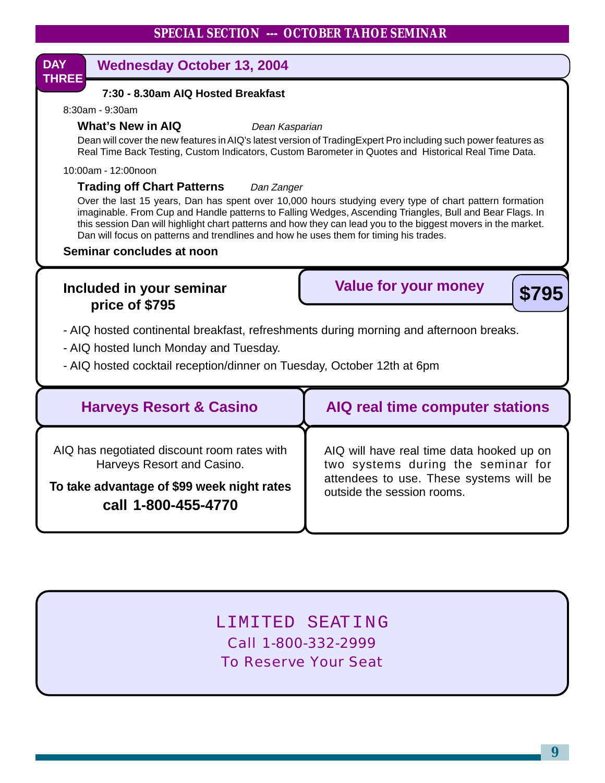# AIQ has negotiated discount room rates with Harveys Resort and Casino. **To take advantage of \$99 week night rates call 1-800-455-4770 Included in your seminar price of \$795** - AIQ hosted continental breakfast, refreshments during morning and afternoon breaks. - AIQ hosted lunch Monday and Tuesday. - AIQ hosted cocktail reception/dinner on Tuesday, October 12th at 6pm AIQ will have real time data hooked up on two systems during the seminar for attendees to use. These systems will be outside the session rooms. **Harveys Resort & Casino Value for your money AIQ real time computer stations DAY THREE Wednesday October 13, 2004 \$795 7:30 - 8.30am AIQ Hosted Breakfast** 8:30am - 9:30am **What's New in AIQ** Dean Kasparian Dean will cover the new features in AIQ's latest version of TradingExpert Pro including such power features as Real Time Back Testing, Custom Indicators, Custom Barometer in Quotes and Historical Real Time Data. 10:00am - 12:00noon **Trading off Chart Patterns** *Dan Zanger* Over the last 15 years, Dan has spent over 10,000 hours studying every type of chart pattern formation imaginable. From Cup and Handle patterns to Falling Wedges, Ascending Triangles, Bull and Bear Flags. In this session Dan will highlight chart patterns and how they can lead you to the biggest movers in the market. Dan will focus on patterns and trendlines and how he uses them for timing his trades. **Seminar concludes at noon**

LIMITED SEATING Call 1-800-332-2999 To Reserve Your Seat